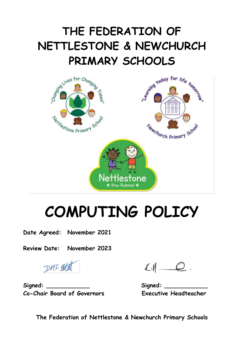# **THE FEDERATION OF NETTLESTONE & NEWCHURCH PRIMARY SCHOOLS**



# **COMPUTING POLICY**

**Date Agreed: November 2021**

**Review Date: November 2023**

DMF Botat

 $Signal:$  **Signed:**  $Signal:$ **Co-Chair Board of Governors Executive Headteacher**

 $LN = Q$ .

**The Federation of Nettlestone & Newchurch Primary Schools**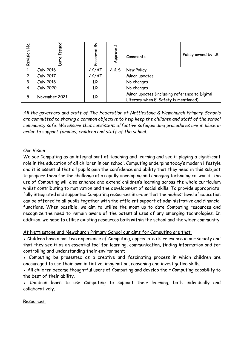| З.<br>2<br>Revision | Issued<br>Date   | ଛ<br>Prepared | ु<br>Appr | Comments                                                                               | Policy owned by LR |
|---------------------|------------------|---------------|-----------|----------------------------------------------------------------------------------------|--------------------|
|                     | <b>July 2016</b> | AC/AT         | A & S     | New Policy                                                                             |                    |
| 2                   | <b>July 2017</b> | AC/AT         |           | Minor updates                                                                          |                    |
| 3                   | <b>July 2018</b> | LR.           |           | No changes                                                                             |                    |
| 4                   | <b>July 2020</b> | LR            |           | No changes                                                                             |                    |
| 5                   | November 2021    | LR.           |           | Minor updates (including reference to Digital<br>Literacy when E-Safety is mentioned). |                    |

*All the governors and staff of The Federation of Nettlestone & Newchurch Primary Schools are committed to sharing a common objective to help keep the children and staff of the school community safe. We ensure that consistent effective safeguarding procedures are in place in order to support families, children and staff of the school.*

# Our Vision

We see Computing as an integral part of teaching and learning and see it playing a significant role in the education of all children in our school. Computing underpins today's modern lifestyle and it is essential that all pupils gain the confidence and ability that they need in this subject to prepare them for the challenge of a rapidly developing and changing technological world. The use of Computing will also enhance and extend children's learning across the whole curriculum whilst contributing to motivation and the development of social skills. To provide appropriate, fully integrated and supported Computing resources in order that the highest level of education can be offered to all pupils together with the efficient support of administrative and financial functions. When possible, we aim to utilise the most up to date Computing resources and recognize the need to remain aware of the potential uses of any emerging technologies. In addition, we hope to utilise existing resources both within the school and the wider community.  $\frac{2}{3}$ <br>  $\frac{2}{3}$ <br>  $\frac{1}{3}$ <br>  $\frac{1}{3}$ <br>  $\frac{2}{3}$ <br>  $\frac{1}{3}$ <br>  $\frac{1}{3}$ <br>  $\frac{1}{3}$ <br>  $\frac{1}{3}$ <br>  $\frac{1}{3}$ <br>  $\frac{1}{3}$ <br>  $\frac{1}{3}$ <br>  $\frac{1}{3}$ <br>  $\frac{1}{3}$ <br>  $\frac{1}{3}$ <br>  $\frac{1}{3}$ <br>  $\frac{1}{3}$ <br>  $\frac{1}{3}$ <br>  $\frac{1}{3}$ <br>  $\frac{1}{3}$ <br>

# At Nettlestone and Newchurch Primary School our aims for Computing are that:

• Children have a positive experience of Computing, appreciate its relevance in our society and that they see it as an essential tool for learning, communication, finding information and for controlling and understanding their environment;

• Computing be presented as a creative and fascinating process in which children are encouraged to use their own initiative, imagination, reasoning and investigative skills;

• All children become thoughtful users of Computing and develop their Computing capability to the best of their ability.

• Children learn to use Computing to support their learning, both individually and collaboratively.

#### Resources.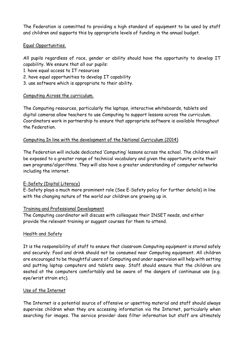The Federation is committed to providing a high standard of equipment to be used by staff and children and supports this by appropriate levels of funding in the annual budget.

# Equal Opportunities.

All pupils regardless of race, gender or ability should have the opportunity to develop IT capability. We ensure that all our pupils:

- 1. have equal access to IT resources
- 2. have equal opportunities to develop IT capability
- 3. use software which is appropriate to their ability.

# Computing Across the curriculum.

The Computing resources, particularly the laptops, interactive whiteboards, tablets and digital cameras allow teachers to use Computing to support lessons across the curriculum. Coordinators work in partnership to ensure that appropriate software is available throughout the Federation.

# Computing In line with the development of the National Curriculum (2014)

The Federation will include dedicated 'Computing' lessons across the school. The children will be exposed to a greater range of technical vocabulary and given the opportunity write their own programs/algorithms. They will also have a greater understanding of computer networks including the internet.

# E-Safety (Digital Literacy)

E-Safety plays a much more prominent role (See E-Safety policy for further details) in line with the changing nature of the world our children are growing up in.

# Training and Professional Development

The Computing coordinator will discuss with colleagues their INSET needs, and either provide the relevant training or suggest courses for them to attend.

# Health and Safety

It is the responsibility of staff to ensure that classroom Computing equipment is stored safely and securely. Food and drink should not be consumed near Computing equipment. All children are encouraged to be thoughtful users of Computing and under supervision will help with setting and putting laptop computers and tablets away. Staff should ensure that the children are seated at the computers comfortably and be aware of the dangers of continuous use (e.g. eye/wrist strain etc).

#### Use of the Internet

The Internet is a potential source of offensive or upsetting material and staff should always supervise children when they are accessing information via the Internet, particularly when searching for images. The service provider does filter information but staff are ultimately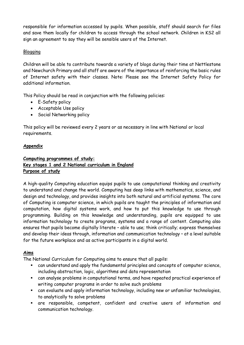responsible for information accessed by pupils. When possible, staff should search for files and save them locally for children to access through the school network. Children in KS2 all sign an agreement to say they will be sensible users of the Internet.

# Blogging

Children will be able to contribute towards a variety of blogs during their time at Nettlestone and Newchurch Primary and all staff are aware of the importance of reinforcing the basic rules of Internet safety with their classes. Note: Please see the Internet Safety Policy for additional information.

This Policy should be read in conjunction with the following policies:

- E-Safety policy
- Acceptable Use policy
- Social Networking policy

This policy will be reviewed every 2 years or as necessary in line with National or local requirements.

# **Appendix**

# **Computing programmes of study: Key stages 1 and 2 National curriculum in England Purpose of study**

A high-quality Computing education equips pupils to use computational thinking and creativity to understand and change the world. Computing has deep links with mathematics, science, and design and technology, and provides insights into both natural and artificial systems. The core of Computing is computer science, in which pupils are taught the principles of information and computation, how digital systems work, and how to put this knowledge to use through programming. Building on this knowledge and understanding, pupils are equipped to use information technology to create programs, systems and a range of content. Computing also ensures that pupils become digitally literate – able to use; think critically; express themselves and develop their ideas through, information and communication technology – at a level suitable for the future workplace and as active participants in a digital world.

# **Aims**

The National Curriculum for Computing aims to ensure that all pupils:

- can understand and apply the fundamental principles and concepts of computer science, including abstraction, logic, algorithms and data representation
- can analyse problems in computational terms, and have repeated practical experience of writing computer programs in order to solve such problems
- can evaluate and apply information technology, including new or unfamiliar technologies, to analytically to solve problems
- are responsible, competent, confident and creative users of information and communication technology.